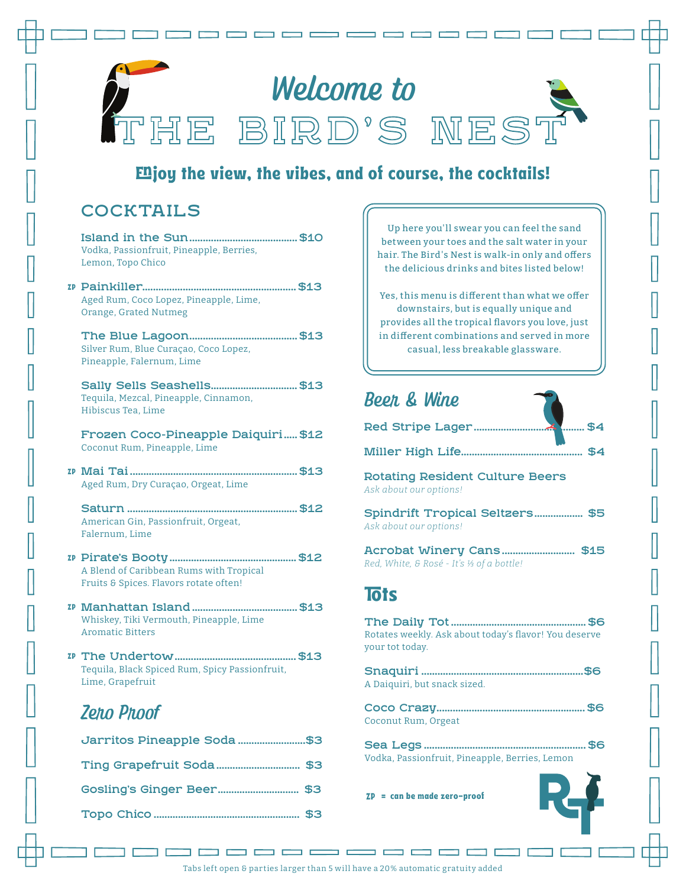

Tabs left open & parties larger than 5 will have a 20% automatic gratuity added